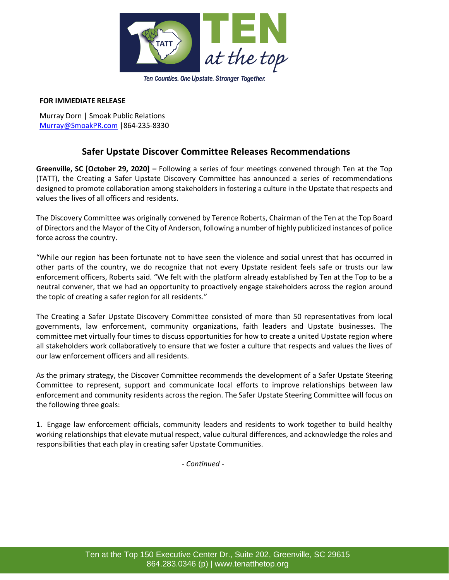

## **FOR IMMEDIATE RELEASE**

Murray Dorn | Smoak Public Relations [Murray@SmoakPR.com](mailto:Murray@SmoakPR.com) |864-235-8330

# **Safer Upstate Discover Committee Releases Recommendations**

**Greenville, SC [October 29, 2020] –** Following a series of four meetings convened through Ten at the Top (TATT), the Creating a Safer Upstate Discovery Committee has announced a series of recommendations designed to promote collaboration among stakeholders in fostering a culture in the Upstate that respects and values the lives of all officers and residents.

The Discovery Committee was originally convened by Terence Roberts, Chairman of the Ten at the Top Board of Directors and the Mayor of the City of Anderson, following a number of highly publicized instances of police force across the country.

"While our region has been fortunate not to have seen the violence and social unrest that has occurred in other parts of the country, we do recognize that not every Upstate resident feels safe or trusts our law enforcement officers, Roberts said. "We felt with the platform already established by Ten at the Top to be a neutral convener, that we had an opportunity to proactively engage stakeholders across the region around the topic of creating a safer region for all residents."

The Creating a Safer Upstate Discovery Committee consisted of more than 50 representatives from local governments, law enforcement, community organizations, faith leaders and Upstate businesses. The committee met virtually four times to discuss opportunities for how to create a united Upstate region where all stakeholders work collaboratively to ensure that we foster a culture that respects and values the lives of our law enforcement officers and all residents.

As the primary strategy, the Discover Committee recommends the development of a Safer Upstate Steering Committee to represent, support and communicate local efforts to improve relationships between law enforcement and community residents across the region. The Safer Upstate Steering Committee will focus on the following three goals:

1.  Engage law enforcement officials, community leaders and residents to work together to build healthy working relationships that elevate mutual respect, value cultural differences, and acknowledge the roles and responsibilities that each play in creating safer Upstate Communities.

*- Continued -*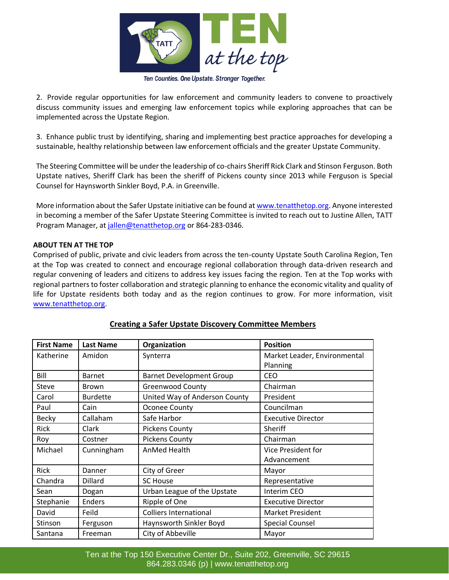

#### Ten Counties. One Upstate. Stronger Together.

2.  Provide regular opportunities for law enforcement and community leaders to convene to proactively discuss community issues and emerging law enforcement topics while exploring approaches that can be implemented across the Upstate Region.

3.  Enhance public trust by identifying, sharing and implementing best practice approaches for developing a sustainable, healthy relationship between law enforcement officials and the greater Upstate Community.

The Steering Committee will be under the leadership of co-chairs Sheriff Rick Clark and Stinson Ferguson. Both Upstate natives, Sheriff Clark has been the sheriff of Pickens county since 2013 while Ferguson is Special Counsel for Haynsworth Sinkler Boyd, P.A. in Greenville.

More information about the Safer Upstate initiative can be found a[t www.tenatthetop.org.](http://www.tenatthetop.org/) Anyone interested in becoming a member of the Safer Upstate Steering Committee is invited to reach out to Justine Allen, TATT Program Manager, at [jallen@tenatthetop.org](mailto:jallen@tenatthetop.org) or 864-283-0346.

### **ABOUT TEN AT THE TOP**

Comprised of public, private and civic leaders from across the ten-county Upstate South Carolina Region, Ten at the Top was created to connect and encourage regional collaboration through data-driven research and regular convening of leaders and citizens to address key issues facing the region. Ten at the Top works with regional partners to foster collaboration and strategic planning to enhance the economic vitality and quality of life for Upstate residents both today and as the region continues to grow. For more information, visit [www.tenatthetop.org.](http://www.tenatthetop.org/)

| <b>First Name</b> | <b>Last Name</b> | Organization                    | <b>Position</b>              |
|-------------------|------------------|---------------------------------|------------------------------|
| Katherine         | Amidon           | Synterra                        | Market Leader, Environmental |
|                   |                  |                                 | Planning                     |
| Bill              | <b>Barnet</b>    | <b>Barnet Development Group</b> | <b>CEO</b>                   |
| Steve             | <b>Brown</b>     | <b>Greenwood County</b>         | Chairman                     |
| Carol             | <b>Burdette</b>  | United Way of Anderson County   | President                    |
| Paul              | Cain             | Oconee County                   | Councilman                   |
| <b>Becky</b>      | Callaham         | Safe Harbor                     | <b>Executive Director</b>    |
| Rick              | Clark            | <b>Pickens County</b>           | Sheriff                      |
| Roy               | Costner          | <b>Pickens County</b>           | Chairman                     |
| Michael           | Cunningham       | AnMed Health                    | <b>Vice President for</b>    |
|                   |                  |                                 | Advancement                  |
| Rick              | Danner           | City of Greer                   | Mayor                        |
| Chandra           | Dillard          | <b>SC House</b>                 | Representative               |
| Sean              | Dogan            | Urban League of the Upstate     | Interim CEO                  |
| Stephanie         | <b>Enders</b>    | Ripple of One                   | <b>Executive Director</b>    |
| David             | Feild            | <b>Colliers International</b>   | <b>Market President</b>      |
| Stinson           | Ferguson         | Haynsworth Sinkler Boyd         | <b>Special Counsel</b>       |
| Santana           | Freeman          | City of Abbeville               | Mayor                        |

### **Creating a Safer Upstate Discovery Committee Members**